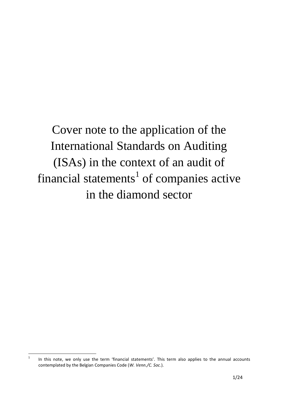Cover note to the application of the International Standards on Auditing (ISAs) in the context of an audit of financial statements<sup>1</sup> of companies active in the diamond sector

 $\overline{1}$ In this note, we only use the term 'financial statements'. This term also applies to the annual accounts contemplated by the Belgian Companies Code (*W. Venn./C. Soc.*).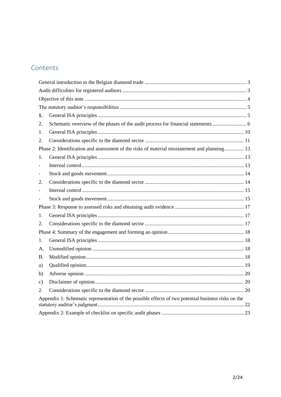# Contents

| 1.                                                                                                  |  |  |  |  |
|-----------------------------------------------------------------------------------------------------|--|--|--|--|
| 2.                                                                                                  |  |  |  |  |
| 1.                                                                                                  |  |  |  |  |
| 2.                                                                                                  |  |  |  |  |
| Phase 2: Identification and assessment of the risks of material misstatement and planning 13        |  |  |  |  |
| 1.                                                                                                  |  |  |  |  |
|                                                                                                     |  |  |  |  |
|                                                                                                     |  |  |  |  |
| 2.                                                                                                  |  |  |  |  |
|                                                                                                     |  |  |  |  |
|                                                                                                     |  |  |  |  |
|                                                                                                     |  |  |  |  |
| 1.                                                                                                  |  |  |  |  |
| 2.                                                                                                  |  |  |  |  |
|                                                                                                     |  |  |  |  |
| 1.                                                                                                  |  |  |  |  |
| А.                                                                                                  |  |  |  |  |
| Β.                                                                                                  |  |  |  |  |
| a)                                                                                                  |  |  |  |  |
| b)                                                                                                  |  |  |  |  |
| c)                                                                                                  |  |  |  |  |
| 2.                                                                                                  |  |  |  |  |
| Appendix 1: Schematic representation of the possible effects of two potential business risks on the |  |  |  |  |
|                                                                                                     |  |  |  |  |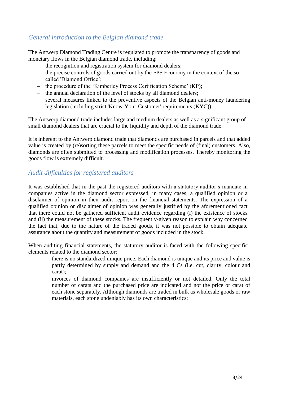### <span id="page-2-0"></span>*General introduction to the Belgian diamond trade*

The Antwerp Diamond Trading Centre is regulated to promote the transparency of goods and monetary flows in the Belgian diamond trade, including:

- the recognition and registration system for diamond dealers;
- the precise controls of goods carried out by the FPS Economy in the context of the socalled 'Diamond Office';
- the procedure of the 'Kimberley Process Certification Scheme' (KP);
- the annual declaration of the level of stocks by all diamond dealers;
- several measures linked to the preventive aspects of the Belgian anti-money laundering legislation (including strict 'Know-Your-Customer' requirements (KYC)).

The Antwerp diamond trade includes large and medium dealers as well as a significant group of small diamond dealers that are crucial to the liquidity and depth of the diamond trade.

It is inherent to the Antwerp diamond trade that diamonds are purchased in parcels and that added value is created by (re)sorting these parcels to meet the specific needs of (final) customers. Also, diamonds are often submitted to processing and modification processes. Thereby monitoring the goods flow is extremely difficult.

### <span id="page-2-1"></span>*Audit difficulties for registered auditors*

It was established that in the past the registered auditors with a statutory auditor's mandate in companies active in the diamond sector expressed, in many cases, a qualified opinion or a disclaimer of opinion in their audit report on the financial statements. The expression of a qualified opinion or disclaimer of opinion was generally justified by the aforementioned fact that there could not be gathered sufficient audit evidence regarding (i) the existence of stocks and (ii) the measurement of these stocks. The frequently-given reason to explain why concerned the fact that, due to the nature of the traded goods, it was not possible to obtain adequate assurance about the quantity and measurement of goods included in the stock.

When auditing financial statements, the statutory auditor is faced with the following specific elements related to the diamond sector:

- there is no standardized unique price. Each diamond is unique and its price and value is partly determined by supply and demand and the 4 Cs (i.e. cut, clarity, colour and carat);
- invoices of diamond companies are insufficiently or not detailed. Only the total number of carats and the purchased price are indicated and not the price or carat of each stone separately. Although diamonds are traded in bulk as wholesale goods or raw materials, each stone undeniably has its own characteristics;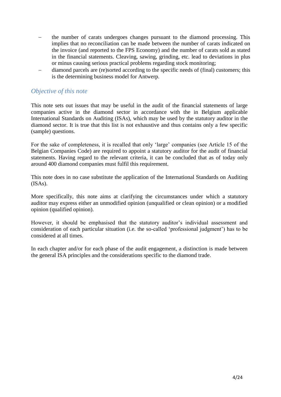- the number of carats undergoes changes pursuant to the diamond processing. This implies that no reconciliation can be made between the number of carats indicated on the invoice (and reported to the FPS Economy) and the number of carats sold as stated in the financial statements. Cleaving, sawing, grinding, etc. lead to deviations in plus or minus causing serious practical problems regarding stock monitoring;
- diamond parcels are (re)sorted according to the specific needs of (final) customers; this is the determining business model for Antwerp.

### <span id="page-3-0"></span>*Objective of this note*

This note sets out issues that may be useful in the audit of the financial statements of large companies active in the diamond sector in accordance with the in Belgium applicable International Standards on Auditing (ISAs), which may be used by the statutory auditor in the diamond sector. It is true that this list is not exhaustive and thus contains only a few specific (sample) questions.

For the sake of completeness, it is recalled that only 'large' companies (see Article 15 of the Belgian Companies Code) are required to appoint a statutory auditor for the audit of financial statements. Having regard to the relevant criteria, it can be concluded that as of today only around 400 diamond companies must fulfil this requirement.

This note does in no case substitute the application of the International Standards on Auditing (ISAs).

More specifically, this note aims at clarifying the circumstances under which a statutory auditor may express either an unmodified opinion (unqualified or clean opinion) or a modified opinion (qualified opinion).

However, it should be emphasised that the statutory auditor's individual assessment and consideration of each particular situation (i.e. the so-called 'professional judgment') has to be considered at all times.

In each chapter and/or for each phase of the audit engagement, a distinction is made between the general ISA principles and the considerations specific to the diamond trade.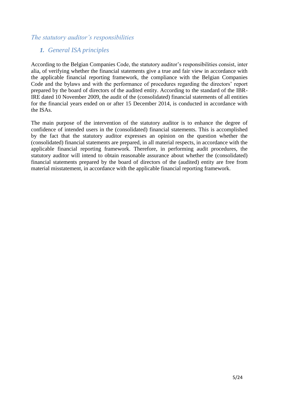### <span id="page-4-1"></span><span id="page-4-0"></span>*The statutory auditor's responsibilities*

# *1. General ISA principles*

According to the Belgian Companies Code, the statutory auditor's responsibilities consist, inter alia, of verifying whether the financial statements give a true and fair view in accordance with the applicable financial reporting framework, the compliance with the Belgian Companies Code and the bylaws and with the performance of procedures regarding the directors' report prepared by the board of directors of the audited entity. According to the standard of the IBR-IRE dated 10 November 2009, the audit of the (consolidated) financial statements of all entities for the financial years ended on or after 15 December 2014, is conducted in accordance with the ISAs.

The main purpose of the intervention of the statutory auditor is to enhance the degree of confidence of intended users in the (consolidated) financial statements. This is accomplished by the fact that the statutory auditor expresses an opinion on the question whether the (consolidated) financial statements are prepared, in all material respects, in accordance with the applicable financial reporting framework. Therefore, in performing audit procedures, the statutory auditor will intend to obtain reasonable assurance about whether the (consolidated) financial statements prepared by the board of directors of the (audited) entity are free from material misstatement, in accordance with the applicable financial reporting framework.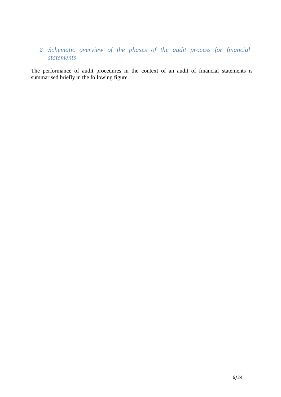# <span id="page-5-0"></span>*2. Schematic overview of the phases of the audit process for financial statements*

The performance of audit procedures in the context of an audit of financial statements is summarised briefly in the following figure.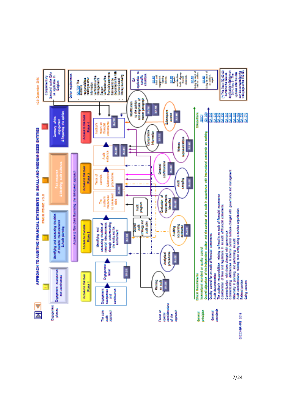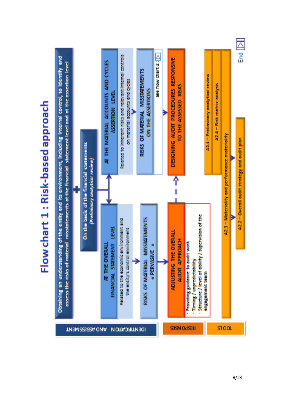

# Flow chart 1: Risk-based approach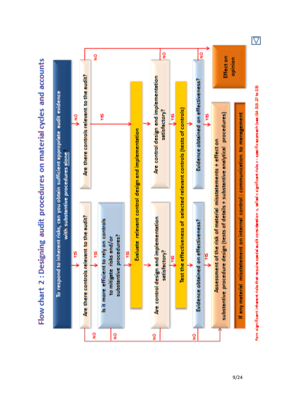

Flow chart 2 : Designing audit procedures on material cycles and accounts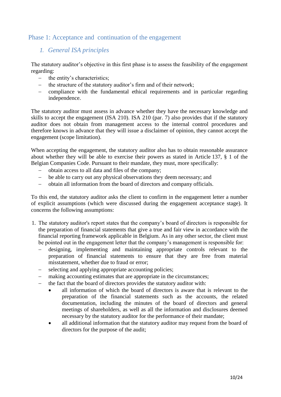### <span id="page-9-0"></span>Phase 1: Acceptance and continuation of the engagement

### *1. General ISA principles*

The statutory auditor's objective in this first phase is to assess the feasibility of the engagement regarding:

- the entity's characteristics;
- the structure of the statutory auditor's firm and of their network;
- compliance with the fundamental ethical requirements and in particular regarding independence.

The statutory auditor must assess in advance whether they have the necessary knowledge and skills to accept the engagement (ISA 210). ISA 210 (par. 7) also provides that if the statutory auditor does not obtain from management access to the internal control procedures and therefore knows in advance that they will issue a disclaimer of opinion, they cannot accept the engagement (scope limitation).

When accepting the engagement, the statutory auditor also has to obtain reasonable assurance about whether they will be able to exercise their powers as stated in Article 137, § 1 of the Belgian Companies Code. Pursuant to their mandate, they must, more specifically:

- obtain access to all data and files of the company;
- be able to carry out any physical observations they deem necessary; and
- obtain all information from the board of directors and company officials.

To this end, the statutory auditor asks the client to confirm in the engagement letter a number of explicit assumptions (which were discussed during the engagement acceptance stage). It concerns the following assumptions:

- 1. The statutory auditor's report states that the company's board of directors is responsible for the preparation of financial statements that give a true and fair view in accordance with the financial reporting framework applicable in Belgium. As in any other sector, the client must be pointed out in the engagement letter that the company's management is responsible for:
	- designing, implementing and maintaining appropriate controls relevant to the preparation of financial statements to ensure that they are free from material misstatement, whether due to fraud or error;
	- selecting and applying appropriate accounting policies;
	- making accounting estimates that are appropriate in the circumstances;
	- the fact that the board of directors provides the statutory auditor with:
		- all information of which the board of directors is aware that is relevant to the preparation of the financial statements such as the accounts, the related documentation, including the minutes of the board of directors and general meetings of shareholders, as well as all the information and disclosures deemed necessary by the statutory auditor for the performance of their mandate;
		- all additional information that the statutory auditor may request from the board of directors for the purpose of the audit;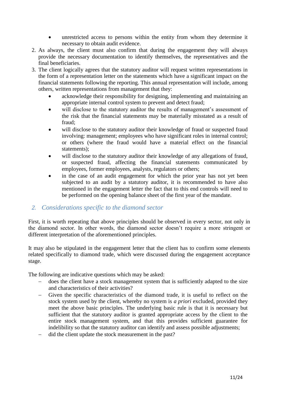- unrestricted access to persons within the entity from whom they determine it necessary to obtain audit evidence.
- 2. As always, the client must also confirm that during the engagement they will always provide the necessary documentation to identify themselves, the representatives and the final beneficiaries.
- 3. The client logically agrees that the statutory auditor will request written representations in the form of a representation letter on the statements which have a significant impact on the financial statements following the reporting. This annual representation will include, among others, written representations from management that they:
	- acknowledge their responsibility for designing, implementing and maintaining an appropriate internal control system to prevent and detect fraud;
	- will disclose to the statutory auditor the results of management's assessment of the risk that the financial statements may be materially misstated as a result of fraud;
	- will disclose to the statutory auditor their knowledge of fraud or suspected fraud involving: management; employees who have significant roles in internal control; or others (where the fraud would have a material effect on the financial statements);
	- will disclose to the statutory auditor their knowledge of any allegations of fraud, or suspected fraud, affecting the financial statements communicated by employees, former employees, analysts, regulators or others;
	- in the case of an audit engagement for which the prior year has not yet been subjected to an audit by a statutory auditor, it is recommended to have also mentioned in the engagement letter the fact that to this end controls will need to be performed on the opening balance sheet of the first year of the mandate.

# <span id="page-10-0"></span>*2. Considerations specific to the diamond sector*

First, it is worth repeating that above principles should be observed in every sector, not only in the diamond sector. In other words, the diamond sector doesn't require a more stringent or different interpretation of the aforementioned principles.

It may also be stipulated in the engagement letter that the client has to confirm some elements related specifically to diamond trade, which were discussed during the engagement acceptance stage.

The following are indicative questions which may be asked:

- does the client have a stock management system that is sufficiently adapted to the size and characteristics of their activities?
- Given the specific characteristics of the diamond trade, it is useful to reflect on the stock system used by the client, whereby no system is *a priori* excluded, provided they meet the above basic principles. The underlying basic rule is that it is necessary but sufficient that the statutory auditor is granted appropriate access by the client to the entire stock management system, and that this provides sufficient guarantee for indelibility so that the statutory auditor can identify and assess possible adjustments;
- did the client update the stock measurement in the past?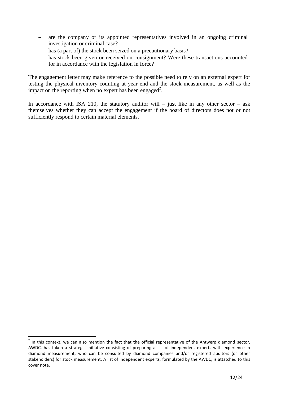- are the company or its appointed representatives involved in an ongoing criminal investigation or criminal case?
- has (a part of) the stock been seized on a precautionary basis?
- has stock been given or received on consignment? Were these transactions accounted for in accordance with the legislation in force?

The engagement letter may make reference to the possible need to rely on an external expert for testing the physical inventory counting at year end and the stock measurement, as well as the impact on the reporting when no expert has been engaged<sup>2</sup>.

In accordance with ISA 210, the statutory auditor will – just like in any other sector – ask themselves whether they can accept the engagement if the board of directors does not or not sufficiently respond to certain material elements.

This context, we can also mention the fact that the official representative of the Antwerp diamond sector, AWDC, has taken a strategic initiative consisting of preparing a list of independent experts with experience in diamond measurement, who can be consulted by diamond companies and/or registered auditors (or other stakeholders) for stock measurement. A list of independent experts, formulated by the AWDC, is attatched to this cover note.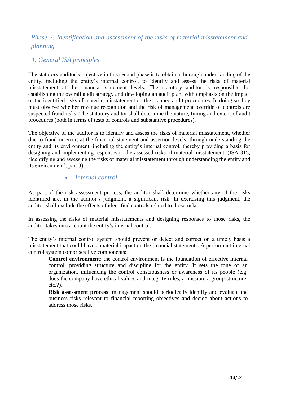# <span id="page-12-0"></span>*Phase 2: Identification and assessment of the risks of material misstatement and planning*

### <span id="page-12-1"></span>*1. General ISA principles*

The statutory auditor's objective in this second phase is to obtain a thorough understanding of the entity, including the entity's internal control, to identify and assess the risks of material misstatement at the financial statement levels. The statutory auditor is responsible for establishing the overall audit strategy and developing an audit plan, with emphasis on the impact of the identified risks of material misstatement on the planned audit procedures. In doing so they must observe whether revenue recognition and the risk of management override of controls are suspected fraud risks. The statutory auditor shall determine the nature, timing and extent of audit procedures (both in terms of tests of controls and substantive procedures).

The objective of the auditor is to identify and assess the risks of material misstatement, whether due to fraud or error, at the financial statement and assertion levels, through understanding the entity and its environment, including the entity's internal control, thereby providing a basis for designing and implementing responses to the assessed risks of material misstatement. (ISA 315, 'Identifying and assessing the risks of material misstatement through understanding the entity and its environment', par. 3)

### *Internal control*

<span id="page-12-2"></span>As part of the risk assessment process, the auditor shall determine whether any of the risks identified are, in the auditor's judgment, a significant risk. In exercising this judgment, the auditor shall exclude the effects of identified controls related to those risks.

In assessing the risks of material misstatements and designing responses to those risks, the auditor takes into account the entity's internal control.

The entity's internal control system should prevent or detect and correct on a timely basis a misstatement that could have a material impact on the financial statements. A performant internal control system comprises five components:

- **Control environment**: the control environment is the foundation of effective internal control, providing structure and discipline for the entity. It sets the tone of an organization, influencing the control consciousness or awareness of its people (e.g. does the company have ethical values and integrity rules, a mission, a group structure, etc.?).
- **Risk assessment process**: management should periodically identify and evaluate the business risks relevant to financial reporting objectives and decide about actions to address those risks.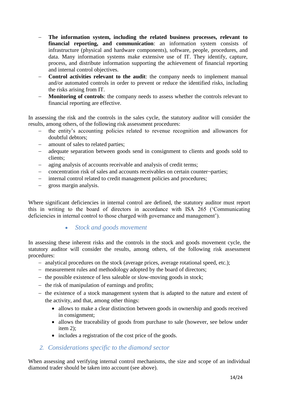- **The information system, including the related business processes, relevant to financial reporting, and communication**: an information system consists of infrastructure (physical and hardware components), software, people, procedures, and data. Many information systems make extensive use of IT. They identify, capture, process, and distribute information supporting the achievement of financial reporting and internal control objectives.
- **Control activities relevant to the audit**: the company needs to implement manual and/or automated controls in order to prevent or reduce the identified risks, including the risks arising from IT.
- **Monitoring of controls**: the company needs to assess whether the controls relevant to financial reporting are effective.

In assessing the risk and the controls in the sales cycle, the statutory auditor will consider the results, among others, of the following risk assessment procedures:

- the entity's accounting policies related to revenue recognition and allowances for doubtful debtors;
- amount of sales to related parties;
- adequate separation between goods send in consignment to clients and goods sold to clients;
- aging analysis of accounts receivable and analysis of credit terms;
- concentration risk of sales and accounts receivables on certain counter¬parties;
- internal control related to credit management policies and procedures;
- gross margin analysis.

<span id="page-13-0"></span>Where significant deficiencies in internal control are defined, the statutory auditor must report this in writing to the board of directors in accordance with ISA 265 ('Communicating deficiencies in internal control to those charged with governance and management').

### *Stock and goods movement*

In assessing these inherent risks and the controls in the stock and goods movement cycle, the statutory auditor will consider the results, among others, of the following risk assessment procedures:

- analytical procedures on the stock (average prices, average rotational speed, etc.);
- measurement rules and methodology adopted by the board of directors;
- $\theta$  the possible existence of less saleable or slow-moving goods in stock;
- the risk of manipulation of earnings and profits;
- $-$  the existence of a stock management system that is adapted to the nature and extent of the activity, and that, among other things:
	- allows to make a clear distinction between goods in ownership and goods received in consignment;
	- allows the traceability of goods from purchase to sale (however, see below under item 2);
	- includes a registration of the cost price of the goods.

### <span id="page-13-1"></span>*2. Considerations specific to the diamond sector*

When assessing and verifying internal control mechanisms, the size and scope of an individual diamond trader should be taken into account (see above).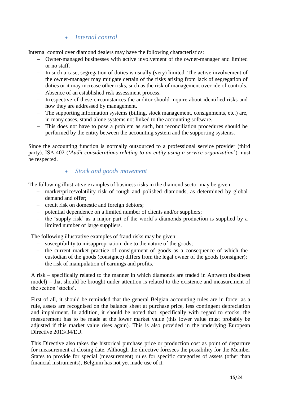### *Internal control*

<span id="page-14-0"></span>Internal control over diamond dealers may have the following characteristics:

- Owner-managed businesses with active involvement of the owner-manager and limited or no staff.
- $-$  In such a case, segregation of duties is usually (very) limited. The active involvement of the owner-manager may mitigate certain of the risks arising from lack of segregation of duties or it may increase other risks, such as the risk of management override of controls.
- Absence of an established risk assessment process.
- Irrespective of these circumstances the auditor should inquire about identified risks and how they are addressed by management.
- The supporting information systems (billing, stock management, consignments, etc.) are, in many cases, stand-alone systems not linked to the accounting software.
- This does not have to pose a problem as such, but reconciliation procedures should be performed by the entity between the accounting system and the supporting systems.

Since the accounting function is normally outsourced to a professional service provider (third party), ISA 402 ('*Audit considerations relating to an entity using a service organization*') must be respected.

### *Stock and goods movement*

<span id="page-14-1"></span>The following illustrative examples of business risks in the diamond sector may be given:

- market/price/volatility risk of rough and polished diamonds, as determined by global demand and offer;
- credit risk on domestic and foreign debtors;
- potential dependence on a limited number of clients and/or suppliers;
- the 'supply risk' as a major part of the world's diamonds production is supplied by a limited number of large suppliers.

The following illustrative examples of fraud risks may be given:

- susceptibility to misappropriation, due to the nature of the goods;
- the current market practice of consignment of goods as a consequence of which the custodian of the goods (consignee) differs from the legal owner of the goods (consigner);
- the risk of manipulation of earnings and profits.

A risk – specifically related to the manner in which diamonds are traded in Antwerp (business model) – that should be brought under attention is related to the existence and measurement of the section 'stocks'.

First of all, it should be reminded that the general Belgian accounting rules are in force: as a rule, assets are recognised on the balance sheet at purchase price, less contingent depreciation and impairment. In addition, it should be noted that, specifically with regard to stocks, the measurement has to be made at the lower market value (this lower value must probably be adjusted if this market value rises again). This is also provided in the underlying European Directive 2013/34/EU.

This Directive also takes the historical purchase price or production cost as point of departure for measurement at closing date. Although the directive foresees the possibility for the Member States to provide for special (measurement) rules for specific categories of assets (other than financial instruments), Belgium has not yet made use of it.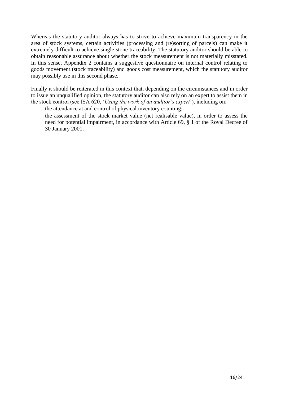Whereas the statutory auditor always has to strive to achieve maximum transparency in the area of stock systems, certain activities (processing and (re)sorting of parcels) can make it extremely difficult to achieve single stone traceability. The statutory auditor should be able to obtain reasonable assurance about whether the stock measurement is not materially misstated. In this sense, Appendix 2 contains a suggestive questionnaire on internal control relating to goods movement (stock traceability) and goods cost measurement, which the statutory auditor may possibly use in this second phase.

Finally it should be reiterated in this context that, depending on the circumstances and in order to issue an unqualified opinion, the statutory auditor can also rely on an expert to assist them in the stock control (see ISA 620, '*Using the work of an auditor's expert*'), including on:

- the attendance at and control of physical inventory counting;
- <span id="page-15-0"></span>- the assessment of the stock market value (net realisable value), in order to assess the need for potential impairment, in accordance with Article 69, § 1 of the Royal Decree of 30 January 2001.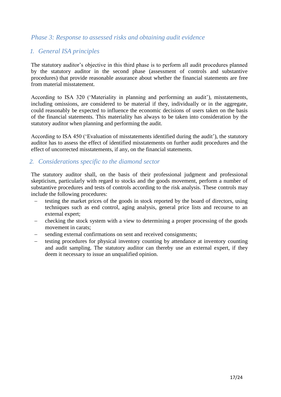### *Phase 3: Response to assessed risks and obtaining audit evidence*

# <span id="page-16-0"></span>*1. General ISA principles*

The statutory auditor's objective in this third phase is to perform all audit procedures planned by the statutory auditor in the second phase (assessment of controls and substantive procedures) that provide reasonable assurance about whether the financial statements are free from material misstatement.

According to ISA 320 ('Materiality in planning and performing an audit'), misstatements, including omissions, are considered to be material if they, individually or in the aggregate, could reasonably be expected to influence the economic decisions of users taken on the basis of the financial statements. This materiality has always to be taken into consideration by the statutory auditor when planning and performing the audit.

According to ISA 450 ('Evaluation of misstatements identified during the audit'), the statutory auditor has to assess the effect of identified misstatements on further audit procedures and the effect of uncorrected misstatements, if any, on the financial statements.

### <span id="page-16-1"></span>*2. Considerations specific to the diamond sector*

The statutory auditor shall, on the basis of their professional judgment and professional skepticism, particularly with regard to stocks and the goods movement, perform a number of substantive procedures and tests of controls according to the risk analysis. These controls may include the following procedures:

- testing the market prices of the goods in stock reported by the board of directors, using techniques such as end control, aging analysis, general price lists and recourse to an external expert;
- checking the stock system with a view to determining a proper processing of the goods movement in carats;
- sending external confirmations on sent and received consignments;
- <span id="page-16-2"></span> testing procedures for physical inventory counting by attendance at inventory counting and audit sampling. The statutory auditor can thereby use an external expert, if they deem it necessary to issue an unqualified opinion.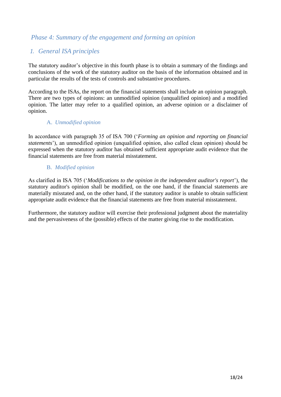### *Phase 4: Summary of the engagement and forming an opinion*

### <span id="page-17-0"></span>*1. General ISA principles*

The statutory auditor's objective in this fourth phase is to obtain a summary of the findings and conclusions of the work of the statutory auditor on the basis of the information obtained and in particular the results of the tests of controls and substantive procedures.

According to the ISAs, the report on the financial statements shall include an opinion paragraph. There are two types of opinions: an unmodified opinion (unqualified opinion) and a modified opinion. The latter may refer to a qualified opinion, an adverse opinion or a disclaimer of opinion.

### A. *Unmodified opinion*

<span id="page-17-1"></span>In accordance with paragraph 35 of ISA 700 ('*Forming an opinion and reporting on financial statements*'), an unmodified opinion (unqualified opinion, also called clean opinion) should be expressed when the statutory auditor has obtained sufficient appropriate audit evidence that the financial statements are free from material misstatement.

### B. *Modified opinion*

<span id="page-17-2"></span>As clarified in ISA 705 ('*Modifications to the opinion in the independent auditor's report*'), the statutory auditor's opinion shall be modified, on the one hand, if the financial statements are materially misstated and, on the other hand, if the statutory auditor is unable to obtain sufficient appropriate audit evidence that the financial statements are free from material misstatement.

Furthermore, the statutory auditor will exercise their professional judgment about the materiality and the pervasiveness of the (possible) effects of the matter giving rise to the modification.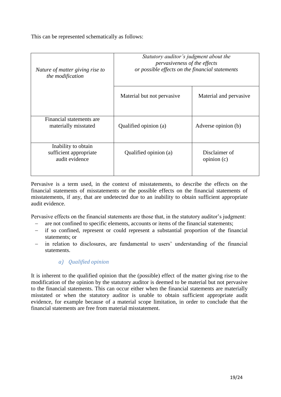This can be represented schematically as follows:

| Nature of matter giving rise to<br>the modification             | Statutory auditor's judgment about the<br>pervasiveness of the effects<br>or possible effects on the financial statements |                             |
|-----------------------------------------------------------------|---------------------------------------------------------------------------------------------------------------------------|-----------------------------|
|                                                                 | Material but not pervasive                                                                                                | Material and pervasive      |
| Financial statements are<br>materially misstated                | Qualified opinion (a)                                                                                                     | Adverse opinion (b)         |
| Inability to obtain<br>sufficient appropriate<br>audit evidence | Qualified opinion (a)                                                                                                     | Disclaimer of<br>opinion(c) |

Pervasive is a term used, in the context of misstatements, to describe the effects on the financial statements of misstatements or the possible effects on the financial statements of misstatements, if any, that are undetected due to an inability to obtain sufficient appropriate audit evidence.

Pervasive effects on the financial statements are those that, in the statutory auditor's judgment:

- are not confined to specific elements, accounts or items of the financial statements;
- if so confined, represent or could represent a substantial proportion of the financial statements; or
- <span id="page-18-0"></span> in relation to disclosures, are fundamental to users' understanding of the financial statements.

### *a) Qualified opinion*

<span id="page-18-1"></span>It is inherent to the qualified opinion that the (possible) effect of the matter giving rise to the modification of the opinion by the statutory auditor is deemed to be material but not pervasive to the financial statements. This can occur either when the financial statements are materially misstated or when the statutory auditor is unable to obtain sufficient appropriate audit evidence, for example because of a material scope limitation, in order to conclude that the financial statements are free from material misstatement.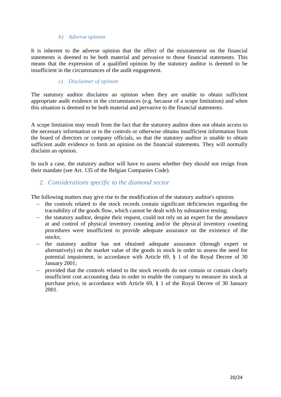### *b) Adverse opinion*

It is inherent to the adverse opinion that the effect of the misstatement on the financial statements is deemed to be both material and pervasive to those financial statements. This means that the expression of a qualified opinion by the statutory auditor is deemed to be insufficient in the circumstances of the audit engagement.

### *c) Disclaimer of opinion*

<span id="page-19-0"></span>The statutory auditor disclaims an opinion when they are unable to obtain sufficient appropriate audit evidence in the circumstances (e.g. because of a scope limitation) and when this situation is deemed to be both material and pervasive to the financial statements.

A scope limitation may result from the fact that the statutory auditor does not obtain access to the necessary information or to the controls or otherwise obtains insufficient information from the board of directors or company officials, so that the statutory auditor is unable to obtain sufficient audit evidence to form an opinion on the financial statements. They will normally disclaim an opinion.

In such a case, the statutory auditor will have to assess whether they should not resign from their mandate (see Art. 135 of the Belgian Companies Code).

### <span id="page-19-1"></span>*2. Considerations specific to the diamond sector*

The following matters may give rise to the modification of the statutory auditor's opinion:

- the controls related to the stock records contain significant deficiencies regarding the traceability of the goods flow, which cannot be dealt with by substantive testing;
- $\theta$  the statutory auditor, despite their request, could not rely on an expert for the attendance at and control of physical inventory counting and/or the physical inventory counting procedures were insufficient to provide adequate assurance on the existence of the stocks:
- the statutory auditor has not obtained adequate assurance (through expert or alternatively) on the market value of the goods in stock in order to assess the need for potential impairment, in accordance with Article 69, § 1 of the Royal Decree of 30 January 2001;
- provided that the controls related to the stock records do not contain or contain clearly insufficient cost accounting data in order to enable the company to measure its stock at purchase price, in accordance with Article 69, § 1 of the Royal Decree of 30 January 2001.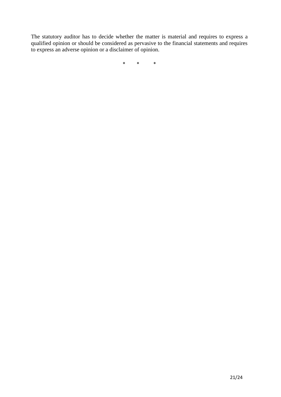The statutory auditor has to decide whether the matter is material and requires to express a qualified opinion or should be considered as pervasive to the financial statements and requires to express an adverse opinion or a disclaimer of opinion.

\* \* \*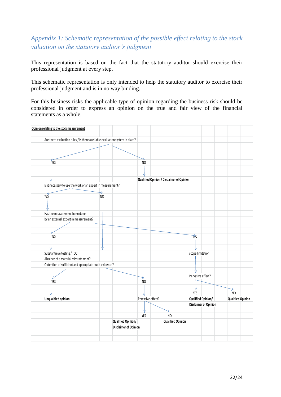# <span id="page-21-0"></span>*Appendix 1: Schematic representation of the possible effect relating to the stock valuation on the statutory auditor's judgment*

This representation is based on the fact that the statutory auditor should exercise their professional judgment at every step.

This schematic representation is only intended to help the statutory auditor to exercise their professional judgment and is in no way binding.

For this business risks the applicable type of opinion regarding the business risk should be considered in order to express an opinion on the true and fair view of the financial statements as a whole.

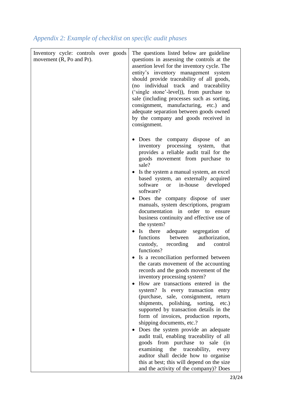# <span id="page-22-0"></span>*Appendix 2: Example of checklist on specific audit phases*

| Inventory cycle: controls over goods<br>movement (R, Po and Pr). |  | The questions listed below are guideline<br>questions in assessing the controls at the<br>assertion level for the inventory cycle. The<br>entity's inventory management system<br>should provide traceability of all goods,<br>(no individual track and traceability<br>('single stone'-level)), from purchase to<br>sale (including processes such as sorting,<br>consignment, manufacturing, etc.) and<br>adequate separation between goods owned<br>by the company and goods received in<br>consignment.                                                                                                                                                                                                                                                                                                                                                                                                                                                                                                                                                                                                                                                                                                                                                                                                                                                                                |
|------------------------------------------------------------------|--|--------------------------------------------------------------------------------------------------------------------------------------------------------------------------------------------------------------------------------------------------------------------------------------------------------------------------------------------------------------------------------------------------------------------------------------------------------------------------------------------------------------------------------------------------------------------------------------------------------------------------------------------------------------------------------------------------------------------------------------------------------------------------------------------------------------------------------------------------------------------------------------------------------------------------------------------------------------------------------------------------------------------------------------------------------------------------------------------------------------------------------------------------------------------------------------------------------------------------------------------------------------------------------------------------------------------------------------------------------------------------------------------|
|                                                                  |  | Does the company dispose of<br>an<br>inventory processing system,<br>that<br>provides a reliable audit trail for the<br>goods movement from purchase to<br>sale?<br>Is the system a manual system, an excel<br>based system, an externally acquired<br>software<br>in-house<br>developed<br><sub>or</sub><br>software?<br>Does the company dispose of user<br>manuals, system descriptions, program<br>documentation in order to ensure<br>business continuity and effective use of<br>the system?<br>Is there<br>adequate segregation<br>of<br>functions<br>between<br>authorization,<br>custody,<br>recording<br>and<br>control<br>functions?<br>Is a reconciliation performed between<br>the carats movement of the accounting<br>records and the goods movement of the<br>inventory processing system?<br>How are transactions entered in the<br>system? Is every transaction entry<br>(purchase, sale, consignment, return<br>shipments, polishing, sorting, etc.)<br>supported by transaction details in the<br>form of invoices, production reports,<br>shipping documents, etc.?<br>Does the system provide an adequate<br>audit trail, enabling traceability of all<br>goods from purchase to sale<br>(in<br>examining the traceability,<br>every<br>auditor shall decide how to organise<br>this at best; this will depend on the size<br>and the activity of the company)? Does |